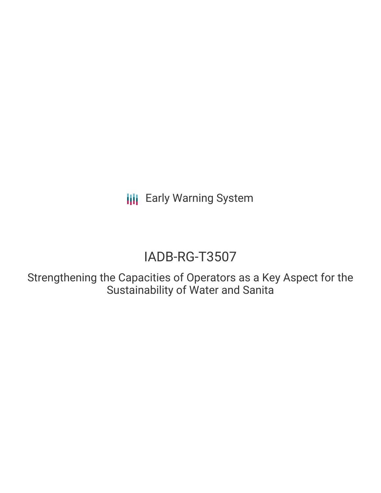**III** Early Warning System

# IADB-RG-T3507

Strengthening the Capacities of Operators as a Key Aspect for the Sustainability of Water and Sanita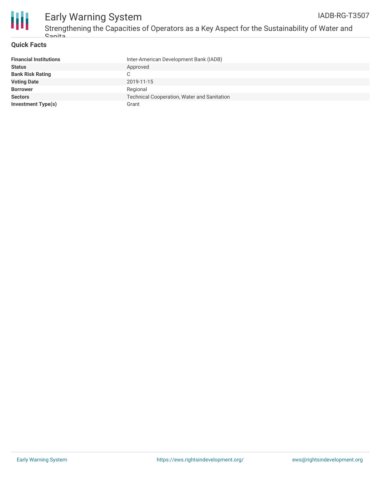

### **Quick Facts**

| <b>Financial Institutions</b> | Inter-American Development Bank (IADB)             |
|-------------------------------|----------------------------------------------------|
| <b>Status</b>                 | Approved                                           |
| <b>Bank Risk Rating</b>       |                                                    |
| <b>Voting Date</b>            | 2019-11-15                                         |
| <b>Borrower</b>               | Regional                                           |
| <b>Sectors</b>                | <b>Technical Cooperation, Water and Sanitation</b> |
| <b>Investment Type(s)</b>     | Grant                                              |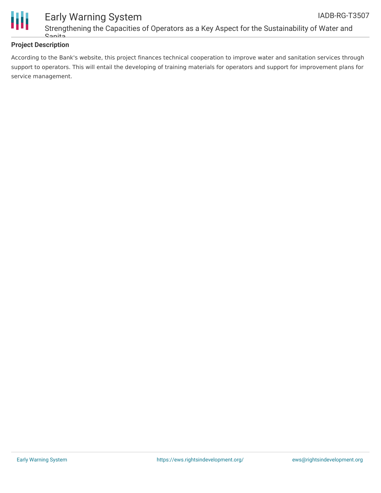

### **Project Description**

According to the Bank's website, this project finances technical cooperation to improve water and sanitation services through support to operators. This will entail the developing of training materials for operators and support for improvement plans for service management.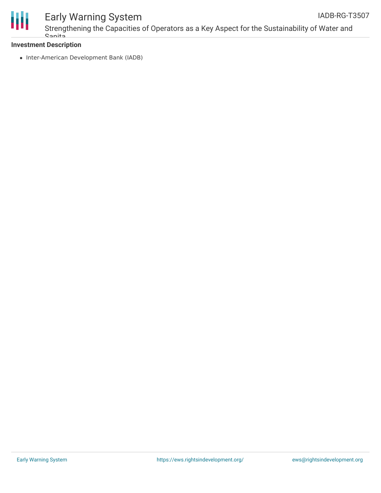

## Early Warning System

### **Investment Description**

• Inter-American Development Bank (IADB)